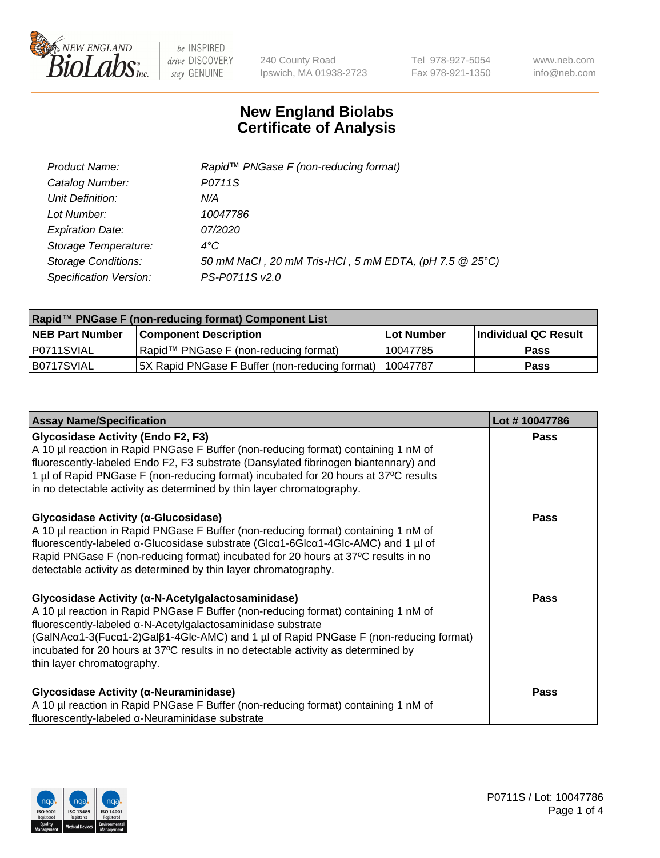

240 County Road Ipswich, MA 01938-2723 Tel 978-927-5054 Fax 978-921-1350 www.neb.com info@neb.com

## **New England Biolabs Certificate of Analysis**

| Product Name:              | Rapid <sup>™</sup> PNGase F (non-reducing format)      |
|----------------------------|--------------------------------------------------------|
| Catalog Number:            | P0711S                                                 |
| Unit Definition:           | N/A                                                    |
| Lot Number:                | 10047786                                               |
| <b>Expiration Date:</b>    | 07/2020                                                |
| Storage Temperature:       | $4^{\circ}C$                                           |
| <b>Storage Conditions:</b> | 50 mM NaCl, 20 mM Tris-HCl, 5 mM EDTA, (pH 7.5 @ 25°C) |
| Specification Version:     | PS-P0711S v2.0                                         |

| Rapid™ PNGase F (non-reducing format) Component List |                                                |             |                      |  |
|------------------------------------------------------|------------------------------------------------|-------------|----------------------|--|
| <b>NEB Part Number</b>                               | <b>Component Description</b>                   | ⊺Lot Number | Individual QC Result |  |
| I P0711SVIAL                                         | Rapid™ PNGase F (non-reducing format)          | ' 10047785  | <b>Pass</b>          |  |
| IB0717SVIAL                                          | 5X Rapid PNGase F Buffer (non-reducing format) | 110047787   | <b>Pass</b>          |  |

| <b>Assay Name/Specification</b>                                                                                                                                                                                                                                                                                                                                                                                    | Lot #10047786 |
|--------------------------------------------------------------------------------------------------------------------------------------------------------------------------------------------------------------------------------------------------------------------------------------------------------------------------------------------------------------------------------------------------------------------|---------------|
| <b>Glycosidase Activity (Endo F2, F3)</b><br>A 10 µl reaction in Rapid PNGase F Buffer (non-reducing format) containing 1 nM of<br>fluorescently-labeled Endo F2, F3 substrate (Dansylated fibrinogen biantennary) and<br>1 µl of Rapid PNGase F (non-reducing format) incubated for 20 hours at 37°C results<br>in no detectable activity as determined by thin layer chromatography.                             | <b>Pass</b>   |
| Glycosidase Activity (α-Glucosidase)<br>A 10 µl reaction in Rapid PNGase F Buffer (non-reducing format) containing 1 nM of<br>fluorescently-labeled α-Glucosidase substrate (Glcα1-6Glcα1-4Glc-AMC) and 1 µl of<br>Rapid PNGase F (non-reducing format) incubated for 20 hours at 37°C results in no<br>detectable activity as determined by thin layer chromatography.                                            | <b>Pass</b>   |
| Glycosidase Activity (α-N-Acetylgalactosaminidase)<br>A 10 µl reaction in Rapid PNGase F Buffer (non-reducing format) containing 1 nM of<br>fluorescently-labeled α-N-Acetylgalactosaminidase substrate<br>(GaINAcα1-3(Fucα1-2)Galβ1-4Glc-AMC) and 1 µl of Rapid PNGase F (non-reducing format)<br>incubated for 20 hours at 37°C results in no detectable activity as determined by<br>thin layer chromatography. | <b>Pass</b>   |
| <b>Glycosidase Activity (α-Neuraminidase)</b><br>A 10 µl reaction in Rapid PNGase F Buffer (non-reducing format) containing 1 nM of<br>fluorescently-labeled α-Neuraminidase substrate                                                                                                                                                                                                                             | <b>Pass</b>   |

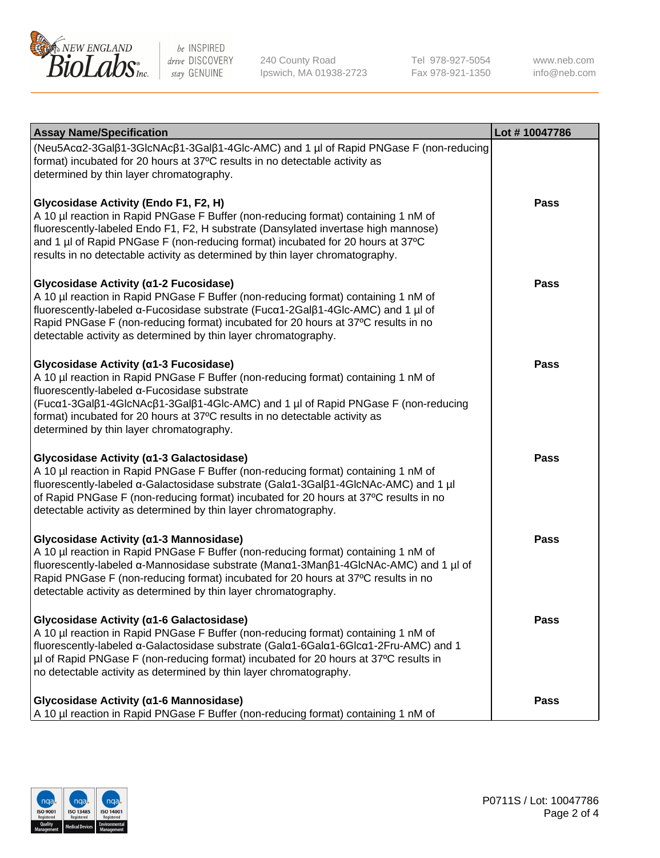

240 County Road Ipswich, MA 01938-2723 Tel 978-927-5054 Fax 978-921-1350 www.neb.com info@neb.com

| <b>Assay Name/Specification</b>                                                                                                                                                                                                                                                                                                                                                              | Lot #10047786 |
|----------------------------------------------------------------------------------------------------------------------------------------------------------------------------------------------------------------------------------------------------------------------------------------------------------------------------------------------------------------------------------------------|---------------|
| (Neu5Acα2-3Galβ1-3GlcNAcβ1-3Galβ1-4Glc-AMC) and 1 µl of Rapid PNGase F (non-reducing<br>format) incubated for 20 hours at 37°C results in no detectable activity as<br>determined by thin layer chromatography.                                                                                                                                                                              |               |
| Glycosidase Activity (Endo F1, F2, H)<br>A 10 µl reaction in Rapid PNGase F Buffer (non-reducing format) containing 1 nM of<br>fluorescently-labeled Endo F1, F2, H substrate (Dansylated invertase high mannose)<br>and 1 µl of Rapid PNGase F (non-reducing format) incubated for 20 hours at 37°C<br>results in no detectable activity as determined by thin layer chromatography.        | <b>Pass</b>   |
| Glycosidase Activity (α1-2 Fucosidase)<br>A 10 µl reaction in Rapid PNGase F Buffer (non-reducing format) containing 1 nM of<br>fluorescently-labeled α-Fucosidase substrate (Fucα1-2Galβ1-4Glc-AMC) and 1 µl of<br>Rapid PNGase F (non-reducing format) incubated for 20 hours at 37°C results in no<br>detectable activity as determined by thin layer chromatography.                     | <b>Pass</b>   |
| Glycosidase Activity (α1-3 Fucosidase)<br>A 10 µl reaction in Rapid PNGase F Buffer (non-reducing format) containing 1 nM of<br>fluorescently-labeled α-Fucosidase substrate<br>(Fucα1-3Galβ1-4GlcNAcβ1-3Galβ1-4Glc-AMC) and 1 µl of Rapid PNGase F (non-reducing<br>format) incubated for 20 hours at 37°C results in no detectable activity as<br>determined by thin layer chromatography. | <b>Pass</b>   |
| Glycosidase Activity (α1-3 Galactosidase)<br>A 10 µl reaction in Rapid PNGase F Buffer (non-reducing format) containing 1 nM of<br>fluorescently-labeled α-Galactosidase substrate (Galα1-3Galβ1-4GlcNAc-AMC) and 1 µl<br>of Rapid PNGase F (non-reducing format) incubated for 20 hours at 37°C results in no<br>detectable activity as determined by thin layer chromatography.            | <b>Pass</b>   |
| Glycosidase Activity (α1-3 Mannosidase)<br>A 10 µl reaction in Rapid PNGase F Buffer (non-reducing format) containing 1 nM of<br>fluorescently-labeled α-Mannosidase substrate (Manα1-3Manβ1-4GlcNAc-AMC) and 1 µl of<br>Rapid PNGase F (non-reducing format) incubated for 20 hours at 37°C results in no<br>detectable activity as determined by thin layer chromatography.                | <b>Pass</b>   |
| Glycosidase Activity (α1-6 Galactosidase)<br>A 10 µl reaction in Rapid PNGase F Buffer (non-reducing format) containing 1 nM of<br>fluorescently-labeled α-Galactosidase substrate (Galα1-6Galα1-6Glcα1-2Fru-AMC) and 1<br>µl of Rapid PNGase F (non-reducing format) incubated for 20 hours at 37°C results in<br>no detectable activity as determined by thin layer chromatography.        | <b>Pass</b>   |
| Glycosidase Activity (α1-6 Mannosidase)<br>A 10 µl reaction in Rapid PNGase F Buffer (non-reducing format) containing 1 nM of                                                                                                                                                                                                                                                                | <b>Pass</b>   |

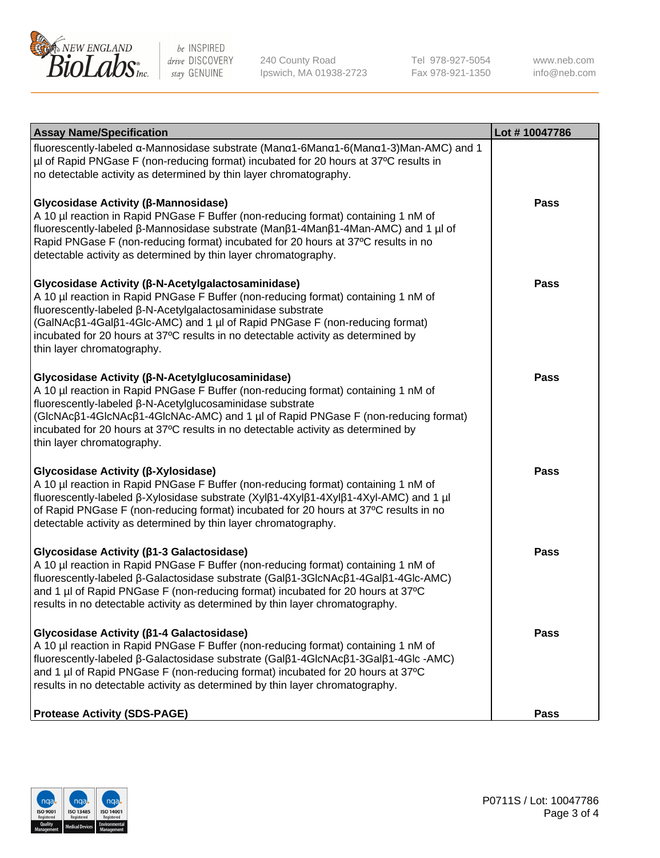

240 County Road Ipswich, MA 01938-2723 Tel 978-927-5054 Fax 978-921-1350 www.neb.com info@neb.com

| <b>Assay Name/Specification</b>                                                                                                                                                                                                                                                                                                                                                                             | Lot #10047786 |
|-------------------------------------------------------------------------------------------------------------------------------------------------------------------------------------------------------------------------------------------------------------------------------------------------------------------------------------------------------------------------------------------------------------|---------------|
| fluorescently-labeled α-Mannosidase substrate (Μanα1-6Μanα1-6(Μanα1-3)Man-AMC) and 1<br>µl of Rapid PNGase F (non-reducing format) incubated for 20 hours at 37°C results in<br>no detectable activity as determined by thin layer chromatography.                                                                                                                                                          |               |
| Glycosidase Activity (β-Mannosidase)<br>A 10 µl reaction in Rapid PNGase F Buffer (non-reducing format) containing 1 nM of<br>fluorescently-labeled β-Mannosidase substrate (Manβ1-4Manβ1-4Man-AMC) and 1 µl of<br>Rapid PNGase F (non-reducing format) incubated for 20 hours at 37°C results in no<br>detectable activity as determined by thin layer chromatography.                                     | <b>Pass</b>   |
| Glycosidase Activity (β-N-Acetylgalactosaminidase)<br>A 10 µl reaction in Rapid PNGase F Buffer (non-reducing format) containing 1 nM of<br>fluorescently-labeled β-N-Acetylgalactosaminidase substrate<br>(GalNAcß1-4Galß1-4Glc-AMC) and 1 µl of Rapid PNGase F (non-reducing format)<br>incubated for 20 hours at 37°C results in no detectable activity as determined by<br>thin layer chromatography.   | Pass          |
| Glycosidase Activity (β-N-Acetylglucosaminidase)<br>A 10 µl reaction in Rapid PNGase F Buffer (non-reducing format) containing 1 nM of<br>fluorescently-labeled β-N-Acetylglucosaminidase substrate<br>(GlcNAcβ1-4GlcNAcβ1-4GlcNAc-AMC) and 1 µl of Rapid PNGase F (non-reducing format)<br>incubated for 20 hours at 37°C results in no detectable activity as determined by<br>thin layer chromatography. | <b>Pass</b>   |
| Glycosidase Activity (β-Xylosidase)<br>A 10 µl reaction in Rapid PNGase F Buffer (non-reducing format) containing 1 nM of<br>fluorescently-labeled β-Xylosidase substrate (Xylβ1-4Xylβ1-4Xylβ1-4Xyl-AMC) and 1 µl<br>of Rapid PNGase F (non-reducing format) incubated for 20 hours at 37°C results in no<br>detectable activity as determined by thin layer chromatography.                                | <b>Pass</b>   |
| Glycosidase Activity (β1-3 Galactosidase)<br>A 10 µl reaction in Rapid PNGase F Buffer (non-reducing format) containing 1 nM of<br>fluorescently-labeled β-Galactosidase substrate (Galβ1-3GlcNAcβ1-4Galβ1-4Glc-AMC)<br>and 1 µl of Rapid PNGase F (non-reducing format) incubated for 20 hours at 37°C<br>results in no detectable activity as determined by thin layer chromatography.                    | <b>Pass</b>   |
| Glycosidase Activity (ß1-4 Galactosidase)<br>A 10 µl reaction in Rapid PNGase F Buffer (non-reducing format) containing 1 nM of<br>fluorescently-labeled β-Galactosidase substrate (Galβ1-4GlcNAcβ1-3Galβ1-4Glc -AMC)<br>and 1 µl of Rapid PNGase F (non-reducing format) incubated for 20 hours at 37°C<br>results in no detectable activity as determined by thin layer chromatography.                   | Pass          |
| <b>Protease Activity (SDS-PAGE)</b>                                                                                                                                                                                                                                                                                                                                                                         | Pass          |